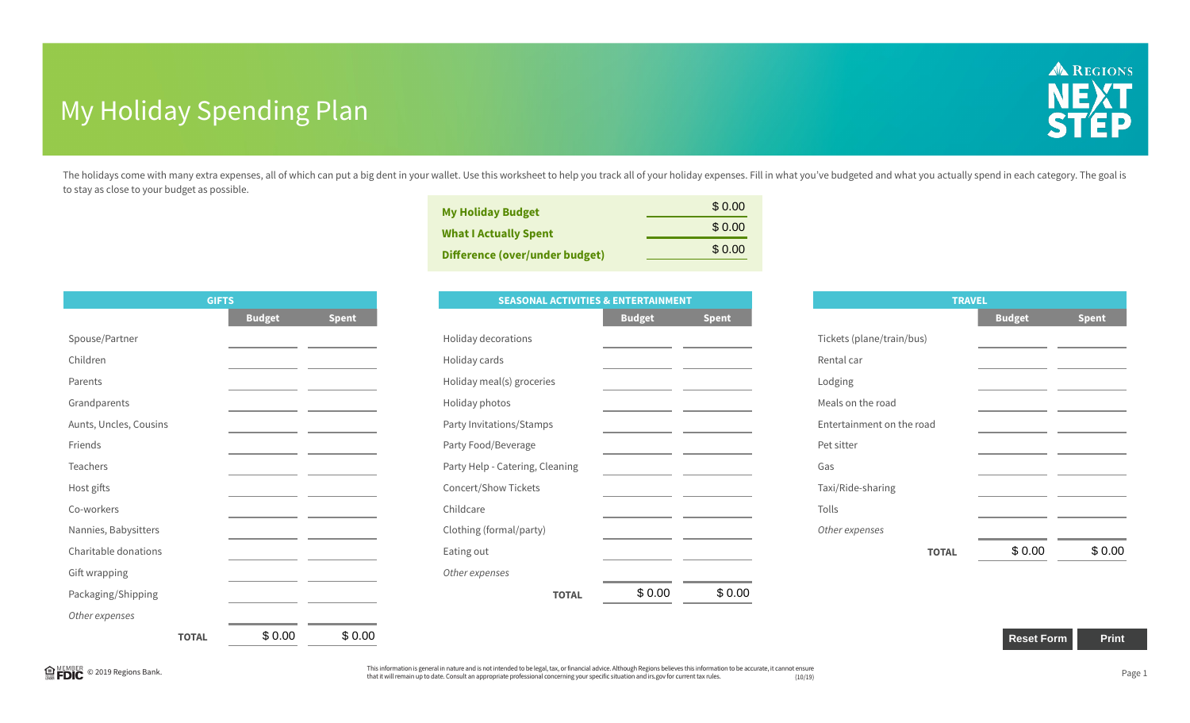## My Holiday Spending Plan



The holidays come with many extra expenses, all of which can put a big dent in your wallet. Use this worksheet to help you track all of your holiday expenses. Fill in what you've budgeted and what you actually spend in eac to stay as close to your budget as possible.

| <b>My Holiday Budget</b><br><b>What I Actually Spent</b><br>Difference (over/under budget) | \$0.00  |
|--------------------------------------------------------------------------------------------|---------|
|                                                                                            | \$ 0.00 |
|                                                                                            | \$ 0.00 |
|                                                                                            |         |

|                        | <b>GIFTS</b> |               |                                                                            |
|------------------------|--------------|---------------|----------------------------------------------------------------------------|
|                        |              | <b>Budget</b> | <b>Spent</b>                                                               |
| Spouse/Partner         |              |               |                                                                            |
| Children               |              |               |                                                                            |
| Parents                |              |               |                                                                            |
| Grandparents           |              |               |                                                                            |
| Aunts, Uncles, Cousins |              |               | the control of the control of the control of the control of the control of |
| Friends                |              |               |                                                                            |
| <b>Teachers</b>        |              |               |                                                                            |
| Host gifts             |              |               |                                                                            |
| Co-workers             |              |               |                                                                            |
| Nannies, Babysitters   |              |               |                                                                            |
| Charitable donations   |              |               |                                                                            |
| Gift wrapping          |              |               |                                                                            |
| Packaging/Shipping     |              |               |                                                                            |
| Other expenses         |              |               |                                                                            |
|                        | <b>TOTAL</b> | \$0.00        | \$0.00                                                                     |

|                      | \$0.00<br><b>What I Actually Spent</b><br>\$0.00                                |                           |              |
|----------------------|---------------------------------------------------------------------------------|---------------------------|--------------|
|                      | <b>Difference (over/under budget)</b>                                           |                           |              |
|                      |                                                                                 | <b>TRAVEL</b>             |              |
| lget<br><b>Spent</b> | <b>SEASONAL ACTIVITIES &amp; ENTERTAINMENT</b><br><b>Budget</b><br><b>Spent</b> | <b>Budget</b>             | <b>Spent</b> |
|                      | Holiday decorations                                                             | Tickets (plane/train/bus) |              |
|                      | Holiday cards                                                                   | Rental car                |              |
|                      | Holiday meal(s) groceries                                                       | Lodging                   |              |
|                      | Holiday photos                                                                  | Meals on the road         |              |
|                      | Party Invitations/Stamps                                                        | Entertainment on the road |              |
|                      | Party Food/Beverage                                                             | Pet sitter                |              |
|                      | Party Help - Catering, Cleaning                                                 | Gas                       |              |
|                      | Concert/Show Tickets                                                            | Taxi/Ride-sharing         |              |
|                      | Childcare                                                                       | Tolls                     |              |
|                      | Clothing (formal/party)                                                         | Other expenses            |              |
|                      | Eating out                                                                      | \$0.00<br><b>TOTAL</b>    | \$0.00       |
|                      | Other expenses                                                                  |                           |              |
|                      | \$0.00<br>\$0.00<br><b>TOTAL</b>                                                |                           |              |
|                      |                                                                                 |                           |              |
| \$0.00<br>\$0.00     |                                                                                 | <b>Reset Form</b>         | Print        |

| <b>TRAVEL</b>             |               |              |  |  |
|---------------------------|---------------|--------------|--|--|
|                           | <b>Budget</b> | <b>Spent</b> |  |  |
| Tickets (plane/train/bus) |               |              |  |  |
| Rental car                |               |              |  |  |
| Lodging                   |               |              |  |  |
| Meals on the road         |               |              |  |  |
| Entertainment on the road |               |              |  |  |
| Pet sitter                |               |              |  |  |
| Gas                       |               |              |  |  |
| Taxi/Ride-sharing         |               |              |  |  |
| Tolls                     |               |              |  |  |
| Other expenses            |               |              |  |  |
| <b>TOTAL</b>              | \$0.00        | \$0.00       |  |  |